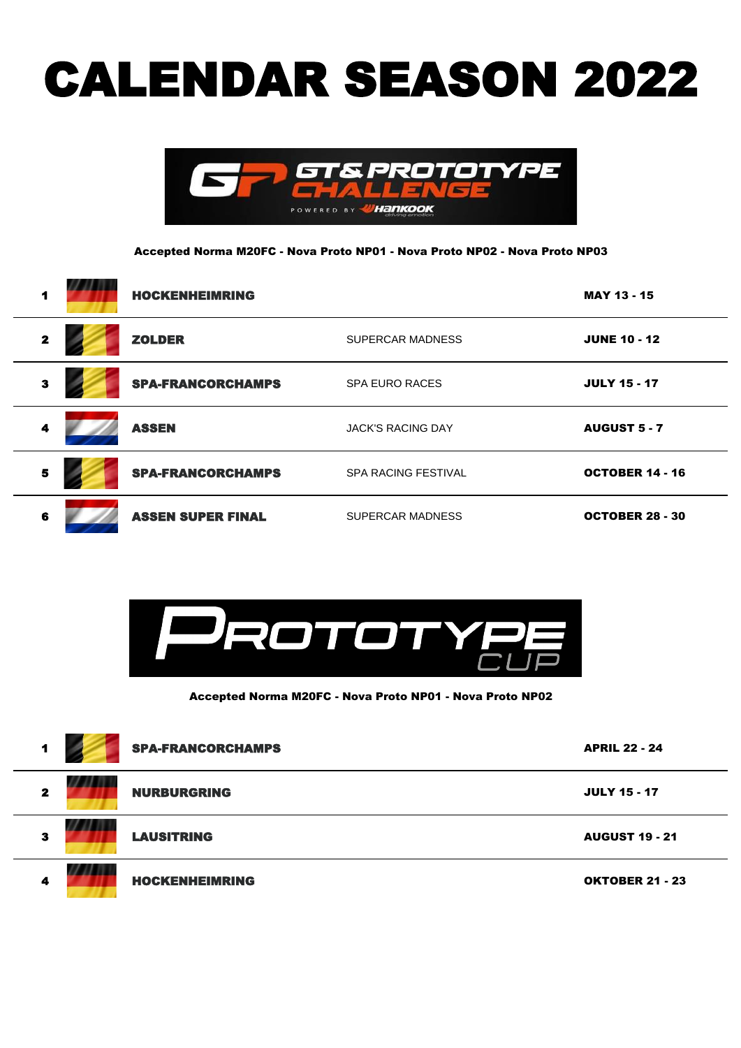## CALENDAR SEASON 2022



Accepted Norma M20FC - Nova Proto NP01 - Nova Proto NP02 - Nova Proto NP03

| 1                       | <b>HOCKENHEIMRING</b>    |                            | <b>MAY 13 - 15</b>     |
|-------------------------|--------------------------|----------------------------|------------------------|
| $\mathbf{2}$            | <b>ZOLDER</b>            | <b>SUPERCAR MADNESS</b>    | <b>JUNE 10 - 12</b>    |
| $\overline{\mathbf{3}}$ | <b>SPA-FRANCORCHAMPS</b> | <b>SPA EURO RACES</b>      | <b>JULY 15 - 17</b>    |
| 4                       | <b>ASSEN</b>             | <b>JACK'S RACING DAY</b>   | <b>AUGUST 5 - 7</b>    |
| 5                       | <b>SPA-FRANCORCHAMPS</b> | <b>SPA RACING FESTIVAL</b> | <b>OCTOBER 14 - 16</b> |
| 6                       | <b>ASSEN SUPER FINAL</b> | <b>SUPERCAR MADNESS</b>    | <b>OCTOBER 28 - 30</b> |



Accepted Norma M20FC - Nova Proto NP01 - Nova Proto NP02

| 1            | <b>SPA-FRANCORCHAMPS</b> | <b>APRIL 22 - 24</b>   |
|--------------|--------------------------|------------------------|
| $\mathbf{z}$ | <b>NURBURGRING</b>       | <b>JULY 15 - 17</b>    |
| 3            | <b>LAUSITRING</b>        | <b>AUGUST 19 - 21</b>  |
| 4            | <b>HOCKENHEIMRING</b>    | <b>OKTOBER 21 - 23</b> |